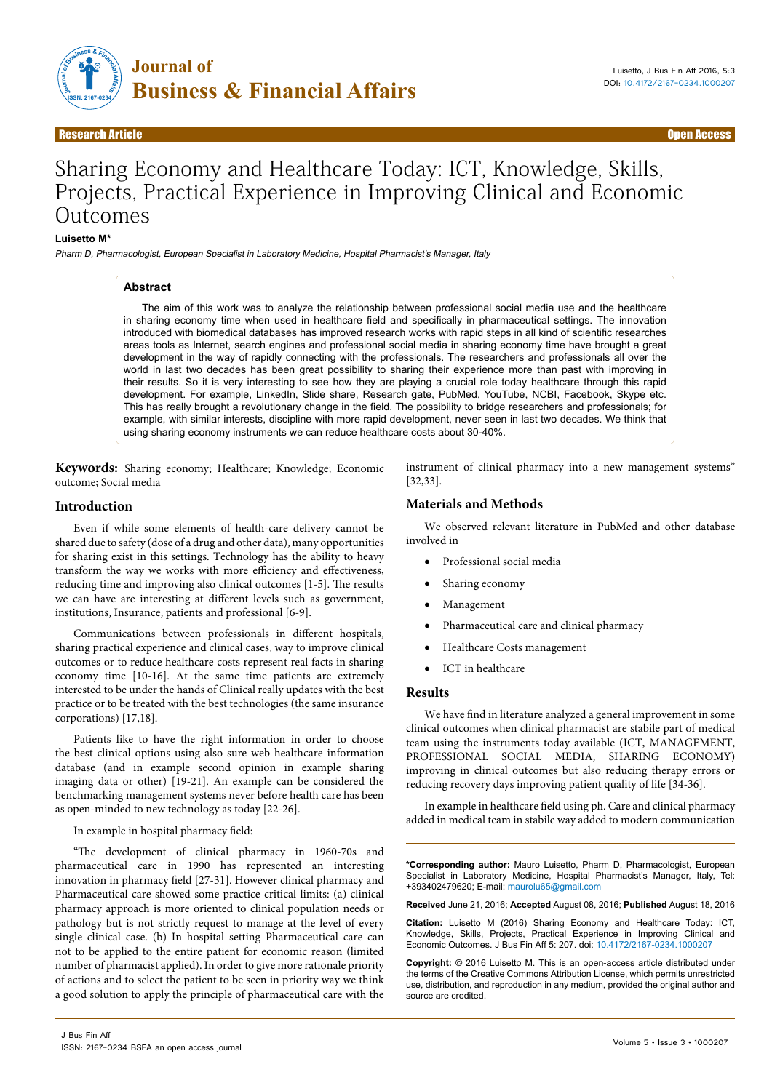

# Sharing Economy and Healthcare Today: ICT, Knowledge, Skills, Projects, Practical Experience in Improving Clinical and Economic Outcomes

#### **Luisetto M\***

Pharm D, Pharmacologist, European Specialist in Laboratory Medicine, Hospital Pharmacist's Manager, Italy

#### **Abstract**

The aim of this work was to analyze the relationship between professional social media use and the healthcare in sharing economy time when used in healthcare field and specifically in pharmaceutical settings. The innovation introduced with biomedical databases has improved research works with rapid steps in all kind of scientific researches areas tools as Internet, search engines and professional social media in sharing economy time have brought a great development in the way of rapidly connecting with the professionals. The researchers and professionals all over the world in last two decades has been great possibility to sharing their experience more than past with improving in their results. So it is very interesting to see how they are playing a crucial role today healthcare through this rapid development. For example, LinkedIn, Slide share, Research gate, PubMed, YouTube, NCBI, Facebook, Skype etc. This has really brought a revolutionary change in the field. The possibility to bridge researchers and professionals; for example, with similar interests, discipline with more rapid development, never seen in last two decades. We think that using sharing economy instruments we can reduce healthcare costs about 30-40%.

**Keywords:** Sharing economy; Healthcare; Knowledge; Economic outcome; Social media

# **Introduction**

Even if while some elements of health-care delivery cannot be shared due to safety (dose of a drug and other data), many opportunities for sharing exist in this settings. Technology has the ability to heavy transform the way we works with more efficiency and effectiveness, reducing time and improving also clinical outcomes [1-5]. The results we can have are interesting at different levels such as government, institutions, Insurance, patients and professional [6-9].

Communications between professionals in different hospitals, sharing practical experience and clinical cases, way to improve clinical outcomes or to reduce healthcare costs represent real facts in sharing economy time [10-16]. At the same time patients are extremely interested to be under the hands of Clinical really updates with the best practice or to be treated with the best technologies (the same insurance corporations) [17,18].

Patients like to have the right information in order to choose the best clinical options using also sure web healthcare information database (and in example second opinion in example sharing imaging data or other) [19-21]. An example can be considered the benchmarking management systems never before health care has been as open-minded to new technology as today [22-26].

### In example in hospital pharmacy field:

"The development of clinical pharmacy in 1960-70s and pharmaceutical care in 1990 has represented an interesting innovation in pharmacy field [27-31]. However clinical pharmacy and Pharmaceutical care showed some practice critical limits: (a) clinical pharmacy approach is more oriented to clinical population needs or pathology but is not strictly request to manage at the level of every single clinical case. (b) In hospital setting Pharmaceutical care can not to be applied to the entire patient for economic reason (limited number of pharmacist applied). In order to give more rationale priority of actions and to select the patient to be seen in priority way we think a good solution to apply the principle of pharmaceutical care with the instrument of clinical pharmacy into a new management systems" [32,33].

# **Materials and Methods**

We observed relevant literature in PubMed and other database involved in

- Professional social media
- Sharing economy
- Management
- Pharmaceutical care and clinical pharmacy
- Healthcare Costs management
- ICT in healthcare

## **Results**

We have find in literature analyzed a general improvement in some clinical outcomes when clinical pharmacist are stabile part of medical team using the instruments today available (ICT, MANAGEMENT, PROFESSIONAL SOCIAL MEDIA, SHARING ECONOMY) improving in clinical outcomes but also reducing therapy errors or reducing recovery days improving patient quality of life [34-36].

In example in healthcare field using ph. Care and clinical pharmacy added in medical team in stabile way added to modern communication

**\*Corresponding author:** Mauro Luisetto, Pharm D, Pharmacologist, European Specialist in Laboratory Medicine, Hospital Pharmacist's Manager, Italy, Tel: +393402479620; E-mail: maurolu65@gmail.com

**Received** June 21, 2016; **Accepted** August 08, 2016; **Published** August 18, 2016

**Citation:** Luisetto M (2016) Sharing Economy and Healthcare Today: ICT, Knowledge, Skills, Projects, Practical Experience in Improving Clinical and Economic Outcomes. J Bus Fin Aff 5: 207. doi: 10.4172/2167-0234.1000207

**Copyright:** © 2016 Luisetto M. This is an open-access article distributed under the terms of the Creative Commons Attribution License, which permits unrestricted use, distribution, and reproduction in any medium, provided the original author and source are credited.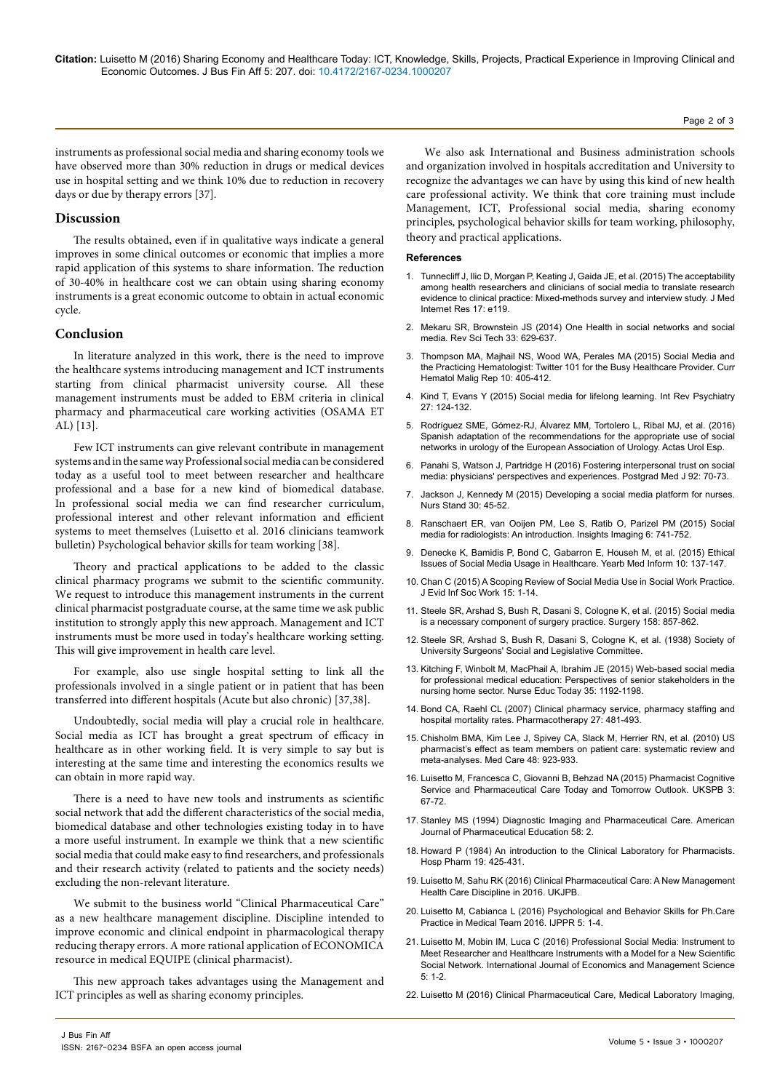#### Page 2 of 3

instruments as professional social media and sharing economy tools we have observed more than 30% reduction in drugs or medical devices use in hospital setting and we think 10% due to reduction in recovery days or due by therapy errors [37].

# **Discussion**

The results obtained, even if in qualitative ways indicate a general improves in some clinical outcomes or economic that implies a more rapid application of this systems to share information. The reduction of 30-40% in healthcare cost we can obtain using sharing economy instruments is a great economic outcome to obtain in actual economic cycle.

### **Conclusion**

In literature analyzed in this work, there is the need to improve the healthcare systems introducing management and ICT instruments starting from clinical pharmacist university course. All these management instruments must be added to EBM criteria in clinical pharmacy and pharmaceutical care working activities (OSAMA ET AL) [13].

Few ICT instruments can give relevant contribute in management systems and in the same way Professional social media can be considered today as a useful tool to meet between researcher and healthcare professional and a base for a new kind of biomedical database. In professional social media we can find researcher curriculum, professional interest and other relevant information and efficient systems to meet themselves (Luisetto et al. 2016 clinicians teamwork bulletin) Psychological behavior skills for team working [38].

Theory and practical applications to be added to the classic clinical pharmacy programs we submit to the scientific community. We request to introduce this management instruments in the current clinical pharmacist postgraduate course, at the same time we ask public institution to strongly apply this new approach. Management and ICT instruments must be more used in today's healthcare working setting. This will give improvement in health care level.

For example, also use single hospital setting to link all the professionals involved in a single patient or in patient that has been transferred into different hospitals (Acute but also chronic) [37,38].

Undoubtedly, social media will play a crucial role in healthcare. Social media as ICT has brought a great spectrum of efficacy in healthcare as in other working field. It is very simple to say but is interesting at the same time and interesting the economics results we can obtain in more rapid way.

There is a need to have new tools and instruments as scientific social network that add the different characteristics of the social media, biomedical database and other technologies existing today in to have a more useful instrument. In example we think that a new scientific social media that could make easy to find researchers, and professionals and their research activity (related to patients and the society needs) excluding the non-relevant literature.

We submit to the business world "Clinical Pharmaceutical Care" as a new healthcare management discipline. Discipline intended to improve economic and clinical endpoint in pharmacological therapy reducing therapy errors. A more rational application of ECONOMICA resource in medical EQUIPE (clinical pharmacist).

This new approach takes advantages using the Management and ICT principles as well as sharing economy principles.

We also ask International and Business administration schools and organization involved in hospitals accreditation and University to recognize the advantages we can have by using this kind of new health care professional activity. We think that core training must include Management, ICT, Professional social media, sharing economy principles, psychological behavior skills for team working, philosophy, theory and practical applications.

#### **References**

- 1. [Tunnecliff J, Ilic D, Morgan P, Keating J, Gaida JE, et al. \(2015\) The acceptability](http://dx.doi.org/10.2196/jmir.4347)  [among health researchers and clinicians of social media to translate research](http://dx.doi.org/10.2196/jmir.4347)  [evidence to clinical practice: Mixed-methods survey and interview study. J Med](http://dx.doi.org/10.2196/jmir.4347)  [Internet Res 17: e119.](http://dx.doi.org/10.2196/jmir.4347)
- 2. Mekaru SR, Brownstein JS (2014) One Health in social networks and social media. Rev Sci Tech 33: 629-637.
- 3. [Thompson MA, Majhail NS, Wood WA, Perales MA \(2015\) Social Media and](http://dx.doi.org/10.1007/s11899-015-0286-x)  [the Practicing Hematologist: Twitter 101 for the Busy Healthcare Provider. Curr](http://dx.doi.org/10.1007/s11899-015-0286-x)  [Hematol Malig Rep 10: 405-412.](http://dx.doi.org/10.1007/s11899-015-0286-x)
- Kind T, Evans Y (2015) Social media for lifelong learning. Int Rev Psychiatry [27: 124-132.](http://dx.doi.org/10.3109/09540261.2014.990421)
- 5. [Rodríguez SME, Gómez-RJ, Álvarez MM, Tortolero L, Ribal MJ, et al. \(2016\)](http://dx.doi.org/10.1016/j.acuro.2015.12.005)  [Spanish adaptation of the recommendations for the appropriate use of social](http://dx.doi.org/10.1016/j.acuro.2015.12.005)  [networks in urology of the European Association of Urology. Actas Urol Esp.](http://dx.doi.org/10.1016/j.acuro.2015.12.005)
- 6. [Panahi S, Watson J, Partridge H \(2016\) Fostering interpersonal trust on social](http://dx.doi.org/10.1136/postgradmedj-2015-133270)  [media: physicians' perspectives and experiences. Postgrad Med J 92: 70-73.](http://dx.doi.org/10.1136/postgradmedj-2015-133270)
- 7. [Jackson J, Kennedy M \(2015\) Developing a social media platform for nurses.](http://dx.doi.org/10.7748/ns.30.12.45.s47)  [Nurs Stand 30: 45-52.](http://dx.doi.org/10.7748/ns.30.12.45.s47)
- 8. [Ranschaert ER, van Ooijen PM, Lee S, Ratib O, Parizel PM \(2015\) Social](http://dx.doi.org/10.1007/s13244-015-0430-0)  [media for radiologists: An introduction. Insights Imaging 6: 741-752.](http://dx.doi.org/10.1007/s13244-015-0430-0)
- 9. [Denecke K, Bamidis P, Bond C, Gabarron E, Househ M, et al. \(2015\) Ethical](http://dx.doi.org/10.15265/IY-2015-001)  [Issues of Social Media Usage in Healthcare. Yearb Med Inform 10: 137-147.](http://dx.doi.org/10.15265/IY-2015-001)
- 10. [Chan C \(2015\) A Scoping Review of Social Media Use in Social Work Practice.](http://dx.doi.org/10.1080/23761407.2015.1052908)  [J Evid Inf Soc Work 15: 1-14.](http://dx.doi.org/10.1080/23761407.2015.1052908)
- 11. [Steele SR, Arshad S, Bush R, Dasani S, Cologne K, et al. \(2015\) Social media](http://dx.doi.org/10.1016/j.surg.2015.06.002)  [is a necessary component of surgery practice. Surgery 158: 857-862.](http://dx.doi.org/10.1016/j.surg.2015.06.002)
- 12. Steele SR, Arshad S, Bush R, Dasani S, Cologne K, et al. (1938) Society of University Surgeons' Social and Legislative Committee.
- 13. [Kitching F, Winbolt M, MacPhail A, Ibrahim JE \(2015\) Web-based social media](http://dx.doi.org/10.1016/j.nedt.2015.05.013)  [for professional medical education: Perspectives of senior stakeholders in the](http://dx.doi.org/10.1016/j.nedt.2015.05.013)  [nursing home sector. Nurse Educ Today 35: 1192-1198.](http://dx.doi.org/10.1016/j.nedt.2015.05.013)
- 14. [Bond CA, Raehl CL \(2007\) Clinical pharmacy service, pharmacy staffing and](http://dx.doi.org/10.1592/phco.27.4.481)  [hospital mortality rates. Pharmacotherapy 27: 481-493.](http://dx.doi.org/10.1592/phco.27.4.481)
- 15. [Chisholm BMA, Kim Lee J, Spivey CA, Slack M, Herrier RN, et al. \(2010\) US](http://dx.doi.org/10.1097/MLR.0b013e3181e57962)  [pharmacist's effect as team members on patient care: systematic review and](http://dx.doi.org/10.1097/MLR.0b013e3181e57962)  [meta-analyses. Med Care 48: 923-933.](http://dx.doi.org/10.1097/MLR.0b013e3181e57962)
- 16. [Luisetto M, Francesca C, Giovanni B, Behzad NA \(2015\) Pharmacist Cognitive](http://dx.doi.org/10.20510/ukjpb/3/i6/87838)  [Service and Pharmaceutical Care Today and Tomorrow Outlook.](http://dx.doi.org/10.20510/ukjpb/3/i6/87838) UKSPB 3: [67-72.](http://dx.doi.org/10.20510/ukjpb/3/i6/87838)
- 17. [Stanley MS \(1994\) Diagnostic Imaging and Pharmaceutical Care. American](http://dx.doi.org/aj5802190.pdf)  [Journal of Pharmaceutical Education 58: 2.](http://dx.doi.org/aj5802190.pdf)
- 18. Howard P (1984) An introduction to the Clinical Laboratory for Pharmacists. Hosp Pharm 19: 425-431.
- 19. Luisetto M, Sahu RK (2016) Clinical Pharmaceutical Care: A New Management Health Care Discipline in 2016. UKJPB.
- 20. [Luisetto M, Cabianca L \(2016\) Psychological and Behavior Skills for Ph.Care](http://ijppr.humanjournals.com/wp-content/uploads/2016/03/1.Mauro-luisetto-Luca-Cabianca.1.pdf)  [Practice in Medical Team 2016. IJPPR 5: 1-4.](http://ijppr.humanjournals.com/wp-content/uploads/2016/03/1.Mauro-luisetto-Luca-Cabianca.1.pdf)
- 21. [Luisetto M, Mobin IM, Luca C \(2016\) Professional Social Media: Instrument to](http://dx.doi.org/10.4172/2162-6359.1000339)  [Meet Researcher and Healthcare Instruments with a Model for a New Scientific](http://dx.doi.org/10.4172/2162-6359.1000339)  [Social Network. International Journal of Economics and Management Science](http://dx.doi.org/10.4172/2162-6359.1000339)   $5: 1-2.$
- 22. [Luisetto M \(2016\) Clinical Pharmaceutical Care, Medical Laboratory Imaging,](http://dx.doi.org/10.4172/1920-4159.1000e112)